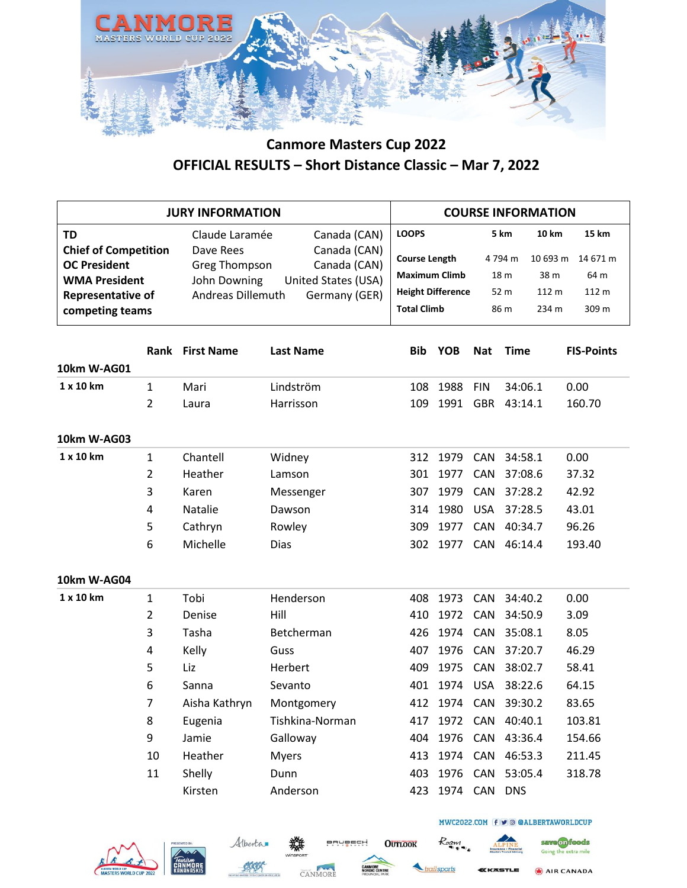

|                                                                                                                                 | <b>JURY INFORMATION</b>        |                                                                                                                                                                                  |                        |                                                                                                                | <b>COURSE INFORMATION</b> |                                                                                  |                    |                                                      |  |  |
|---------------------------------------------------------------------------------------------------------------------------------|--------------------------------|----------------------------------------------------------------------------------------------------------------------------------------------------------------------------------|------------------------|----------------------------------------------------------------------------------------------------------------|---------------------------|----------------------------------------------------------------------------------|--------------------|------------------------------------------------------|--|--|
| TD<br><b>Chief of Competition</b><br><b>OC President</b><br><b>WMA President</b><br><b>Representative of</b><br>competing teams |                                | Claude Laramée<br>Canada (CAN)<br>Canada (CAN)<br>Dave Rees<br>Canada (CAN)<br><b>Greg Thompson</b><br>United States (USA)<br>John Downing<br>Andreas Dillemuth<br>Germany (GER) |                        | <b>LOOPS</b><br><b>Course Length</b><br><b>Maximum Climb</b><br><b>Height Difference</b><br><b>Total Climb</b> |                           | 5 km<br><b>10 km</b><br>4794 m<br>18 m<br>38 m<br>52 m<br>112 m<br>86 m<br>234 m |                    | 15 km<br>10 693 m 14 671 m<br>64 m<br>112 m<br>309 m |  |  |
| 10km W-AG01                                                                                                                     |                                | <b>Rank First Name</b>                                                                                                                                                           | <b>Last Name</b>       | Bib                                                                                                            | YOB                       | <b>Nat</b>                                                                       | <b>Time</b>        | <b>FIS-Points</b>                                    |  |  |
| 1 x 10 km                                                                                                                       | $\mathbf{1}$<br>$\overline{2}$ | Mari<br>Laura                                                                                                                                                                    | Lindström<br>Harrisson | 108<br>109                                                                                                     | 1988<br>1991              | <b>FIN</b><br><b>GBR</b>                                                         | 34:06.1<br>43:14.1 | 0.00<br>160.70                                       |  |  |
| 10km W-AG03                                                                                                                     |                                |                                                                                                                                                                                  |                        |                                                                                                                |                           |                                                                                  |                    |                                                      |  |  |
| 1 x 10 km                                                                                                                       | $\mathbf{1}$<br>$\overline{2}$ | Chantell<br>Heather                                                                                                                                                              | Widney<br>Lamson       | 312<br>301                                                                                                     | 1979<br>1977              | CAN<br>CAN                                                                       | 34:58.1<br>37:08.6 | 0.00<br>37.32                                        |  |  |
|                                                                                                                                 | 3                              | Karen                                                                                                                                                                            | Messenger              | 307                                                                                                            | 1979                      | CAN                                                                              | 37:28.2            | 42.92                                                |  |  |
|                                                                                                                                 | 4                              | <b>Natalie</b>                                                                                                                                                                   | Dawson                 | 314                                                                                                            | 1980                      | <b>USA</b>                                                                       | 37:28.5            | 43.01                                                |  |  |
|                                                                                                                                 | 5                              | Cathryn                                                                                                                                                                          | Rowley                 | 309                                                                                                            | 1977                      | CAN                                                                              | 40:34.7            | 96.26                                                |  |  |
|                                                                                                                                 | 6                              | Michelle                                                                                                                                                                         | Dias                   | 302                                                                                                            | 1977                      | CAN                                                                              | 46:14.4            | 193.40                                               |  |  |
| 10km W-AG04                                                                                                                     |                                |                                                                                                                                                                                  |                        |                                                                                                                |                           |                                                                                  |                    |                                                      |  |  |
| 1 x 10 km                                                                                                                       | $\mathbf{1}$                   | Tobi                                                                                                                                                                             | Henderson              | 408                                                                                                            | 1973                      | CAN                                                                              | 34:40.2            | 0.00                                                 |  |  |
|                                                                                                                                 | 2                              | Denise                                                                                                                                                                           | Hill                   | 410                                                                                                            | 1972                      | CAN                                                                              | 34:50.9            | 3.09                                                 |  |  |
|                                                                                                                                 | 3                              | Tasha                                                                                                                                                                            | Betcherman             | 426                                                                                                            | 1974                      | CAN                                                                              | 35:08.1            | 8.05                                                 |  |  |
|                                                                                                                                 | 4                              | Kelly                                                                                                                                                                            | Guss                   | 407                                                                                                            | 1976                      | CAN                                                                              | 37:20.7            | 46.29                                                |  |  |
|                                                                                                                                 | 5                              | Liz                                                                                                                                                                              | Herbert                | 409                                                                                                            | 1975                      | CAN                                                                              | 38:02.7            | 58.41                                                |  |  |
|                                                                                                                                 | 6                              | Sanna                                                                                                                                                                            | Sevanto                | 401                                                                                                            | 1974                      | <b>USA</b>                                                                       | 38:22.6            | 64.15                                                |  |  |
|                                                                                                                                 | 7                              | Aisha Kathryn                                                                                                                                                                    | Montgomery             | 412                                                                                                            | 1974                      | CAN                                                                              | 39:30.2            | 83.65                                                |  |  |
|                                                                                                                                 | 8                              | Eugenia                                                                                                                                                                          | Tishkina-Norman        | 417                                                                                                            |                           |                                                                                  | 1972 CAN 40:40.1   | 103.81                                               |  |  |
|                                                                                                                                 | 9                              | Jamie                                                                                                                                                                            | Galloway               | 404                                                                                                            | 1976                      | CAN                                                                              | 43:36.4            | 154.66                                               |  |  |
|                                                                                                                                 | 10                             | Heather                                                                                                                                                                          | <b>Myers</b>           | 413                                                                                                            | 1974 CAN                  |                                                                                  | 46:53.3            | 211.45                                               |  |  |
|                                                                                                                                 | 11                             | Shelly                                                                                                                                                                           | Dunn                   | 403                                                                                                            | 1976                      | CAN                                                                              | 53:05.4            | 318.78                                               |  |  |
|                                                                                                                                 |                                | Kirsten                                                                                                                                                                          | Anderson               | 423                                                                                                            | 1974 CAN DNS              |                                                                                  |                    |                                                      |  |  |







**OUTLOOK** 



Roam

AIR CANADA

save on foods

Going the extra mile

MWC2022.COM f v @ @ALBERTAWORLDCUP

STLE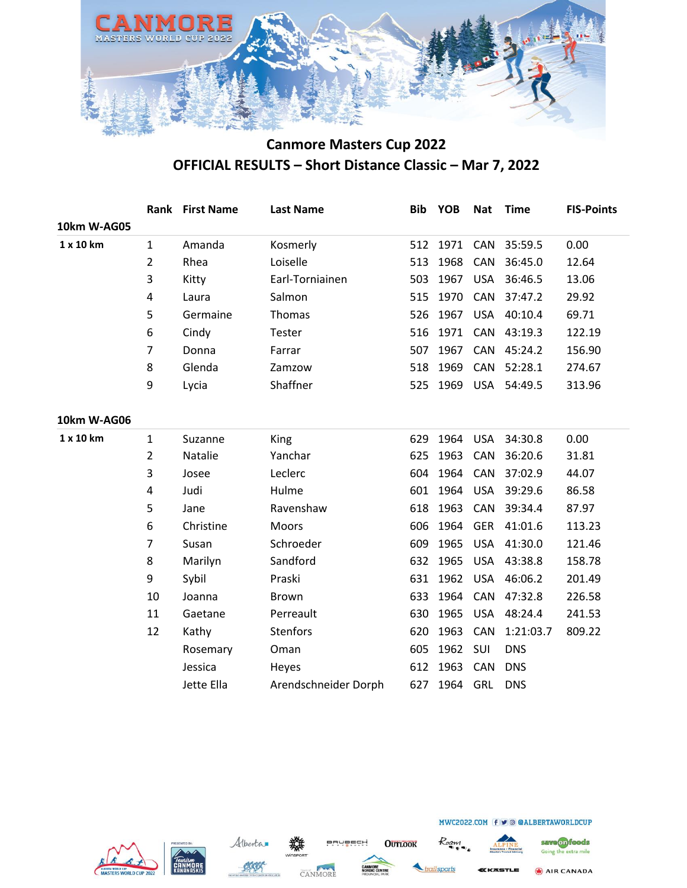

|             | Rank           | <b>First Name</b> | <b>Last Name</b>     | <b>Bib</b> | <b>YOB</b> | <b>Nat</b> | <b>Time</b> | <b>FIS-Points</b> |
|-------------|----------------|-------------------|----------------------|------------|------------|------------|-------------|-------------------|
| 10km W-AG05 |                |                   |                      |            |            |            |             |                   |
| 1 x 10 km   | $\mathbf{1}$   | Amanda            | Kosmerly             | 512        | 1971       | CAN        | 35:59.5     | 0.00              |
|             | $\overline{2}$ | Rhea              | Loiselle             | 513        | 1968       | CAN        | 36:45.0     | 12.64             |
|             | 3              | Kitty             | Earl-Torniainen      | 503        | 1967       | <b>USA</b> | 36:46.5     | 13.06             |
|             | 4              | Laura             | Salmon               | 515        | 1970       | CAN        | 37:47.2     | 29.92             |
|             | 5              | Germaine          | Thomas               | 526        | 1967       | <b>USA</b> | 40:10.4     | 69.71             |
|             | 6              | Cindy             | Tester               | 516        | 1971       | CAN        | 43:19.3     | 122.19            |
|             | $\overline{7}$ | Donna             | Farrar               | 507        | 1967       | CAN        | 45:24.2     | 156.90            |
|             | 8              | Glenda            | Zamzow               | 518        | 1969       | CAN        | 52:28.1     | 274.67            |
|             | 9              | Lycia             | Shaffner             | 525        | 1969       | <b>USA</b> | 54:49.5     | 313.96            |
|             |                |                   |                      |            |            |            |             |                   |
| 10km W-AG06 |                |                   |                      |            |            |            |             |                   |
| 1 x 10 km   | $\mathbf{1}$   | Suzanne           | King                 | 629        | 1964       | <b>USA</b> | 34:30.8     | 0.00              |
|             | $\overline{2}$ | Natalie           | Yanchar              | 625        | 1963       | CAN        | 36:20.6     | 31.81             |
|             | 3              | Josee             | Leclerc              | 604        | 1964       | CAN        | 37:02.9     | 44.07             |
|             | 4              | Judi              | Hulme                | 601        | 1964       | <b>USA</b> | 39:29.6     | 86.58             |
|             | 5              | Jane              | Ravenshaw            | 618        | 1963       | CAN        | 39:34.4     | 87.97             |
|             | 6              | Christine         | Moors                | 606        | 1964       | <b>GER</b> | 41:01.6     | 113.23            |
|             | $\overline{7}$ | Susan             | Schroeder            | 609        | 1965       | <b>USA</b> | 41:30.0     | 121.46            |
|             | 8              | Marilyn           | Sandford             | 632        | 1965       | <b>USA</b> | 43:38.8     | 158.78            |
|             | 9              | Sybil             | Praski               | 631        | 1962       | <b>USA</b> | 46:06.2     | 201.49            |
|             | 10             | Joanna            | Brown                | 633        | 1964       | CAN        | 47:32.8     | 226.58            |
|             | 11             | Gaetane           | Perreault            | 630        | 1965       | <b>USA</b> | 48:24.4     | 241.53            |
|             | 12             | Kathy             | <b>Stenfors</b>      | 620        | 1963       | CAN        | 1:21:03.7   | 809.22            |
|             |                | Rosemary          | Oman                 | 605        | 1962       | SUI        | <b>DNS</b>  |                   |
|             |                | Jessica           | Heyes                | 612        | 1963       | <b>CAN</b> | <b>DNS</b>  |                   |
|             |                | Jette Ella        | Arendschneider Dorph | 627        | 1964       | GRL        | <b>DNS</b>  |                   |
|             |                |                   |                      |            |            |            |             |                   |







**OUTLOOK** 



**(KASTLE** 

MWC2022.COM f v @ @ALBERTAWORLDCUP



AIR CANADA

ailsports

Roam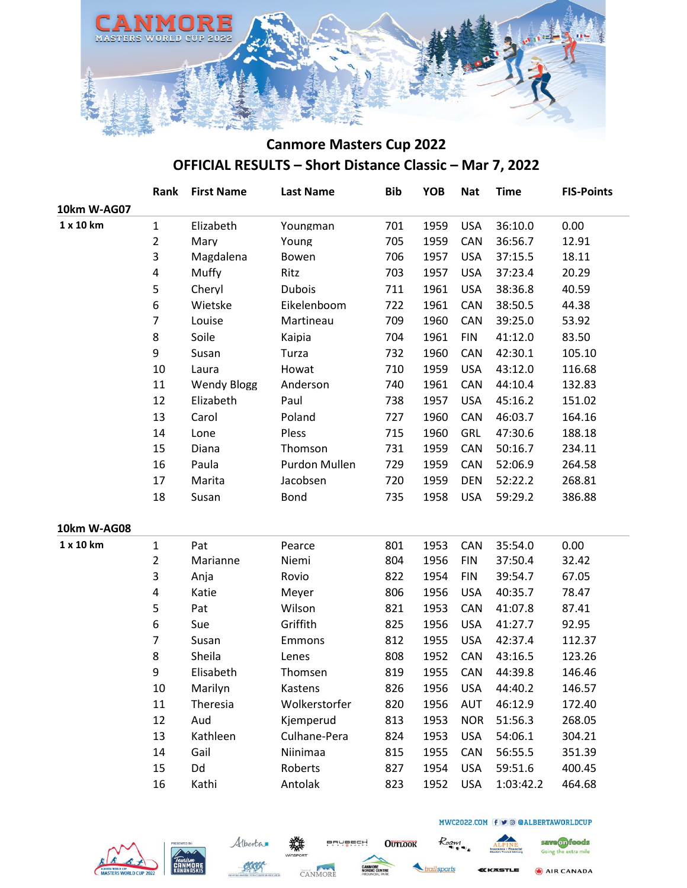

|             | Rank           | <b>First Name</b>  | <b>Last Name</b> | <b>Bib</b> | <b>YOB</b> | <b>Nat</b> | <b>Time</b> | <b>FIS-Points</b> |
|-------------|----------------|--------------------|------------------|------------|------------|------------|-------------|-------------------|
| 10km W-AG07 |                |                    |                  |            |            |            |             |                   |
| 1 x 10 km   | $\mathbf{1}$   | Elizabeth          | Youngman         | 701        | 1959       | <b>USA</b> | 36:10.0     | 0.00              |
|             | $\overline{2}$ | Mary               | Young            | 705        | 1959       | CAN        | 36:56.7     | 12.91             |
|             | 3              | Magdalena          | Bowen            | 706        | 1957       | <b>USA</b> | 37:15.5     | 18.11             |
|             | 4              | Muffy              | Ritz             | 703        | 1957       | <b>USA</b> | 37:23.4     | 20.29             |
|             | 5              | Cheryl             | <b>Dubois</b>    | 711        | 1961       | <b>USA</b> | 38:36.8     | 40.59             |
|             | 6              | Wietske            | Eikelenboom      | 722        | 1961       | CAN        | 38:50.5     | 44.38             |
|             | 7              | Louise             | Martineau        | 709        | 1960       | CAN        | 39:25.0     | 53.92             |
|             | 8              | Soile              | Kaipia           | 704        | 1961       | <b>FIN</b> | 41:12.0     | 83.50             |
|             | 9              | Susan              | Turza            | 732        | 1960       | CAN        | 42:30.1     | 105.10            |
|             | 10             | Laura              | Howat            | 710        | 1959       | <b>USA</b> | 43:12.0     | 116.68            |
|             | 11             | <b>Wendy Blogg</b> | Anderson         | 740        | 1961       | CAN        | 44:10.4     | 132.83            |
|             | 12             | Elizabeth          | Paul             | 738        | 1957       | <b>USA</b> | 45:16.2     | 151.02            |
|             | 13             | Carol              | Poland           | 727        | 1960       | CAN        | 46:03.7     | 164.16            |
|             | 14             | Lone               | Pless            | 715        | 1960       | <b>GRL</b> | 47:30.6     | 188.18            |
|             | 15             | Diana              | Thomson          | 731        | 1959       | CAN        | 50:16.7     | 234.11            |
|             | 16             | Paula              | Purdon Mullen    | 729        | 1959       | CAN        | 52:06.9     | 264.58            |
|             | 17             | Marita             | Jacobsen         | 720        | 1959       | <b>DEN</b> | 52:22.2     | 268.81            |
|             | 18             | Susan              | Bond             | 735        | 1958       | <b>USA</b> | 59:29.2     | 386.88            |
| 10km W-AG08 |                |                    |                  |            |            |            |             |                   |
| 1 x 10 km   | $\mathbf{1}$   | Pat                | Pearce           | 801        | 1953       | CAN        | 35:54.0     | 0.00              |
|             | $\overline{2}$ | Marianne           | Niemi            | 804        | 1956       | <b>FIN</b> | 37:50.4     | 32.42             |
|             | 3              | Anja               | Rovio            | 822        | 1954       | <b>FIN</b> | 39:54.7     | 67.05             |
|             | 4              | Katie              | Meyer            | 806        | 1956       | <b>USA</b> | 40:35.7     | 78.47             |
|             | 5              | Pat                | Wilson           | 821        | 1953       | CAN        | 41:07.8     | 87.41             |
|             | 6              | Sue                | Griffith         | 825        | 1956       | <b>USA</b> | 41:27.7     | 92.95             |
|             | 7              | Susan              | Emmons           | 812        | 1955       | <b>USA</b> | 42:37.4     | 112.37            |
|             | 8              | Sheila             | Lenes            | 808        | 1952       | CAN        | 43:16.5     | 123.26            |
|             | 9              | Elisabeth          | Thomsen          | 819        | 1955       | CAN        | 44:39.8     | 146.46            |
|             | 10             | Marilyn            | Kastens          | 826        | 1956       | <b>USA</b> | 44:40.2     | 146.57            |
|             | 11             | Theresia           | Wolkerstorfer    | 820        | 1956       | <b>AUT</b> | 46:12.9     | 172.40            |
|             | 12             | Aud                | Kjemperud        | 813        | 1953       | <b>NOR</b> | 51:56.3     | 268.05            |
|             | 13             | Kathleen           | Culhane-Pera     | 824        | 1953       | <b>USA</b> | 54:06.1     | 304.21            |
|             | 14             | Gail               | Niinimaa         | 815        | 1955       | CAN        | 56:55.5     | 351.39            |
|             | 15             | Dd                 | Roberts          | 827        | 1954       | <b>USA</b> | 59:51.6     | 400.45            |
|             | 16             | Kathi              | Antolak          | 823        | 1952       | <b>USA</b> | 1:03:42.2   | 464.68            |
|             |                |                    |                  |            |            |            |             |                   |







**OUTLOOK** 



Roam

**(KASTLE** 

MWC2022.COM f v @ @ALBERTAWORLDCUP

AIR CANADA

save on foods

Going the extra mile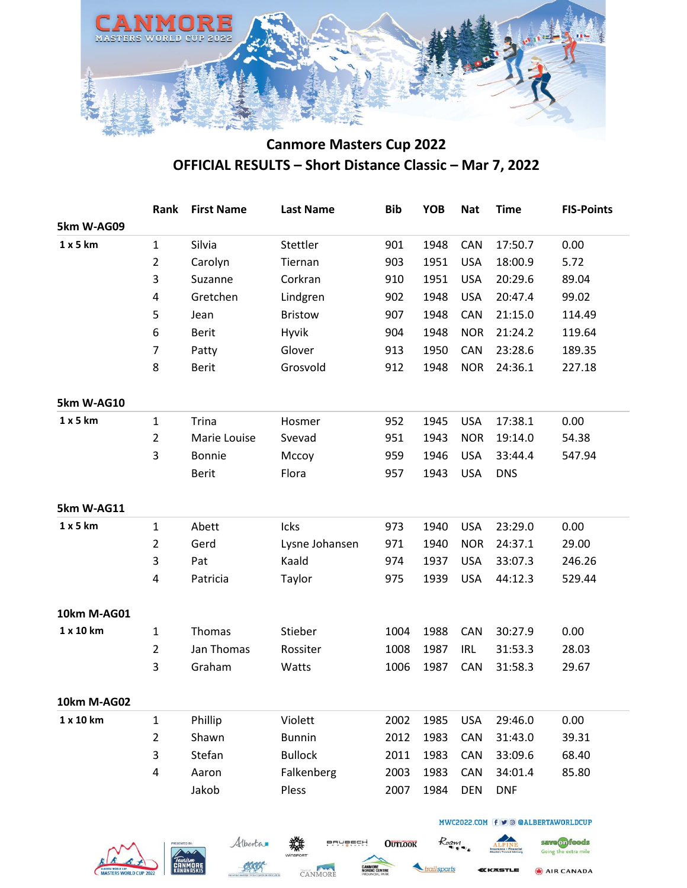

|             | Rank           | <b>First Name</b> | <b>Last Name</b> | <b>Bib</b> | <b>YOB</b> | <b>Nat</b> | <b>Time</b> | <b>FIS-Points</b> |
|-------------|----------------|-------------------|------------------|------------|------------|------------|-------------|-------------------|
| 5km W-AG09  |                |                   |                  |            |            |            |             |                   |
| 1 x 5 km    | $\mathbf{1}$   | Silvia            | Stettler         | 901        | 1948       | CAN        | 17:50.7     | 0.00              |
|             | $\overline{2}$ | Carolyn           | Tiernan          | 903        | 1951       | <b>USA</b> | 18:00.9     | 5.72              |
|             | 3              | Suzanne           | Corkran          | 910        | 1951       | <b>USA</b> | 20:29.6     | 89.04             |
|             | 4              | Gretchen          | Lindgren         | 902        | 1948       | <b>USA</b> | 20:47.4     | 99.02             |
|             | 5              | Jean              | <b>Bristow</b>   | 907        | 1948       | CAN        | 21:15.0     | 114.49            |
|             | 6              | <b>Berit</b>      | Hyvik            | 904        | 1948       | <b>NOR</b> | 21:24.2     | 119.64            |
|             | $\overline{7}$ | Patty             | Glover           | 913        | 1950       | CAN        | 23:28.6     | 189.35            |
|             | 8              | <b>Berit</b>      | Grosvold         | 912        | 1948       | <b>NOR</b> | 24:36.1     | 227.18            |
| 5km W-AG10  |                |                   |                  |            |            |            |             |                   |
| 1 x 5 km    | $\mathbf{1}$   | <b>Trina</b>      | Hosmer           | 952        | 1945       | <b>USA</b> | 17:38.1     | 0.00              |
|             | $\overline{2}$ | Marie Louise      | Svevad           | 951        | 1943       | <b>NOR</b> | 19:14.0     | 54.38             |
|             | 3              | <b>Bonnie</b>     | Mccoy            | 959        | 1946       | <b>USA</b> | 33:44.4     | 547.94            |
|             |                | <b>Berit</b>      | Flora            | 957        | 1943       | <b>USA</b> | <b>DNS</b>  |                   |
| 5km W-AG11  |                |                   |                  |            |            |            |             |                   |
| 1 x 5 km    | $\mathbf{1}$   | Abett             | Icks             | 973        | 1940       | <b>USA</b> | 23:29.0     | 0.00              |
|             | $\overline{2}$ | Gerd              | Lysne Johansen   | 971        | 1940       | <b>NOR</b> | 24:37.1     | 29.00             |
|             | 3              | Pat               | Kaald            | 974        | 1937       | <b>USA</b> | 33:07.3     | 246.26            |
|             | 4              | Patricia          | Taylor           | 975        | 1939       | <b>USA</b> | 44:12.3     | 529.44            |
| 10km M-AG01 |                |                   |                  |            |            |            |             |                   |
| 1 x 10 km   | $\mathbf{1}$   | Thomas            | Stieber          | 1004       | 1988       | CAN        | 30:27.9     | 0.00              |
|             | $\overline{2}$ | Jan Thomas        | Rossiter         | 1008       | 1987       | <b>IRL</b> | 31:53.3     | 28.03             |
|             | 3              | Graham            | Watts            | 1006       | 1987       | CAN        | 31:58.3     | 29.67             |
| 10km M-AG02 |                |                   |                  |            |            |            |             |                   |
| 1 x 10 km   | $\mathbf{1}$   | Phillip           | Violett          | 2002       | 1985       | <b>USA</b> | 29:46.0     | 0.00              |
|             | $\overline{2}$ | Shawn             | <b>Bunnin</b>    | 2012       | 1983       | CAN        | 31:43.0     | 39.31             |
|             | 3              | Stefan            | <b>Bullock</b>   | 2011       | 1983       | CAN        | 33:09.6     | 68.40             |
|             | 4              | Aaron             | Falkenberg       | 2003       | 1983       | CAN        | 34:01.4     | 85.80             |
|             |                | Jakob             | Pless            | 2007       | 1984       | <b>DEN</b> | <b>DNF</b>  |                   |







**OUTLOOK** 



Roan

AIR CANADA **SSTLE** 

save on foods

Going the extra mile

MWC2022.COM f v @ @ALBERTAWORLDCUP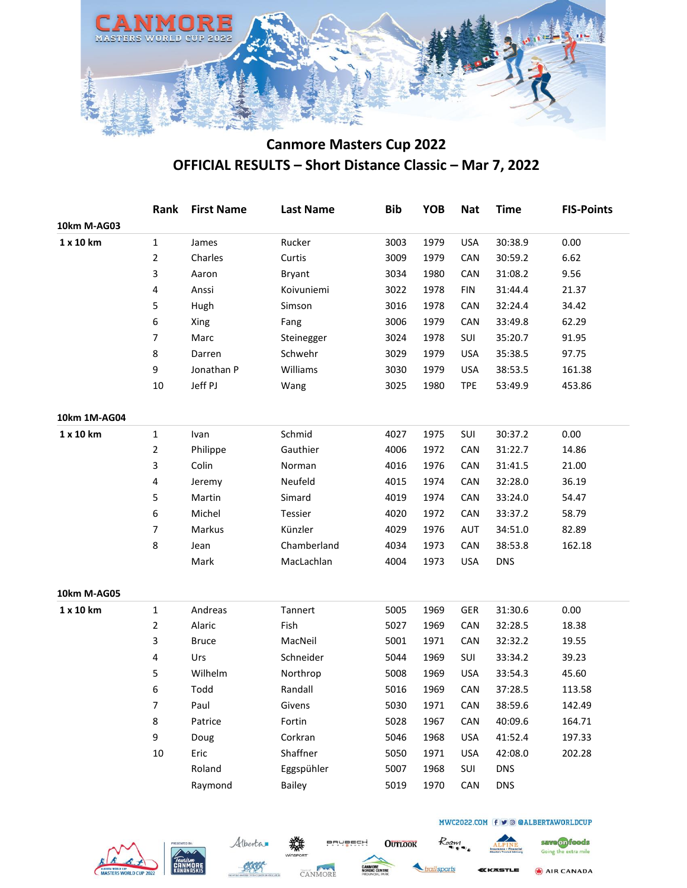

|              | Rank           | <b>First Name</b> | <b>Last Name</b> | <b>Bib</b> | <b>YOB</b> | <b>Nat</b> | <b>Time</b> | <b>FIS-Points</b> |
|--------------|----------------|-------------------|------------------|------------|------------|------------|-------------|-------------------|
| 10km M-AG03  |                |                   |                  |            |            |            |             |                   |
| 1 x 10 km    | $\mathbf 1$    | James             | Rucker           | 3003       | 1979       | <b>USA</b> | 30:38.9     | 0.00              |
|              | $\overline{c}$ | Charles           | Curtis           | 3009       | 1979       | CAN        | 30:59.2     | 6.62              |
|              | 3              | Aaron             | Bryant           | 3034       | 1980       | CAN        | 31:08.2     | 9.56              |
|              | 4              | Anssi             | Koivuniemi       | 3022       | 1978       | <b>FIN</b> | 31:44.4     | 21.37             |
|              | 5              | Hugh              | Simson           | 3016       | 1978       | CAN        | 32:24.4     | 34.42             |
|              | 6              | Xing              | Fang             | 3006       | 1979       | CAN        | 33:49.8     | 62.29             |
|              | 7              | Marc              | Steinegger       | 3024       | 1978       | SUI        | 35:20.7     | 91.95             |
|              | 8              | Darren            | Schwehr          | 3029       | 1979       | <b>USA</b> | 35:38.5     | 97.75             |
|              | 9              | Jonathan P        | Williams         | 3030       | 1979       | <b>USA</b> | 38:53.5     | 161.38            |
|              | 10             | Jeff PJ           | Wang             | 3025       | 1980       | <b>TPE</b> | 53:49.9     | 453.86            |
| 10km 1M-AG04 |                |                   |                  |            |            |            |             |                   |
| 1 x 10 km    | $\mathbf{1}$   | Ivan              | Schmid           | 4027       | 1975       | SUI        | 30:37.2     | 0.00              |
|              | 2              | Philippe          | Gauthier         | 4006       | 1972       | CAN        | 31:22.7     | 14.86             |
|              | 3              | Colin             | Norman           | 4016       | 1976       | CAN        | 31:41.5     | 21.00             |
|              | 4              | Jeremy            | Neufeld          | 4015       | 1974       | CAN        | 32:28.0     | 36.19             |
|              | 5              | Martin            | Simard           | 4019       | 1974       | CAN        | 33:24.0     | 54.47             |
|              | 6              | Michel            | Tessier          | 4020       | 1972       | CAN        | 33:37.2     | 58.79             |
|              | 7              | Markus            | Künzler          | 4029       | 1976       | AUT        | 34:51.0     | 82.89             |
|              | 8              | Jean              | Chamberland      | 4034       | 1973       | CAN        | 38:53.8     | 162.18            |
|              |                | Mark              | MacLachlan       | 4004       | 1973       | <b>USA</b> | <b>DNS</b>  |                   |
| 10km M-AG05  |                |                   |                  |            |            |            |             |                   |
| 1 x 10 km    | $\mathbf{1}$   | Andreas           | Tannert          | 5005       | 1969       | GER        | 31:30.6     | 0.00              |
|              | 2              | Alaric            | Fish             | 5027       | 1969       | CAN        | 32:28.5     | 18.38             |
|              | 3              | <b>Bruce</b>      | MacNeil          | 5001       | 1971       | CAN        | 32:32.2     | 19.55             |
|              | 4              | Urs               | Schneider        | 5044       | 1969       | SUI        | 33:34.2     | 39.23             |
|              | 5              | Wilhelm           | Northrop         | 5008       | 1969       | <b>USA</b> | 33:54.3     | 45.60             |
|              | 6              | Todd              | Randall          | 5016       | 1969       | CAN        | 37:28.5     | 113.58            |
|              | 7              | Paul              | Givens           | 5030       | 1971       | CAN        | 38:59.6     | 142.49            |
|              | 8              | Patrice           | Fortin           | 5028       | 1967       | CAN        | 40:09.6     | 164.71            |
|              | 9              | Doug              | Corkran          | 5046       | 1968       | <b>USA</b> | 41:52.4     | 197.33            |
|              | 10             | Eric              | Shaffner         | 5050       | 1971       | <b>USA</b> | 42:08.0     | 202.28            |
|              |                | Roland            | Eggspühler       | 5007       | 1968       | SUI        | <b>DNS</b>  |                   |
|              |                | Raymond           | <b>Bailey</b>    | 5019       | 1970       | CAN        | <b>DNS</b>  |                   |
|              |                |                   |                  |            |            |            |             |                   |







**OUTLOOK** 



Roaw

**(KASTLE** 

MWC2022.COM f v @ @ALBERTAWORLDCUP

save on foods

Going the extra mile

AIR CANADA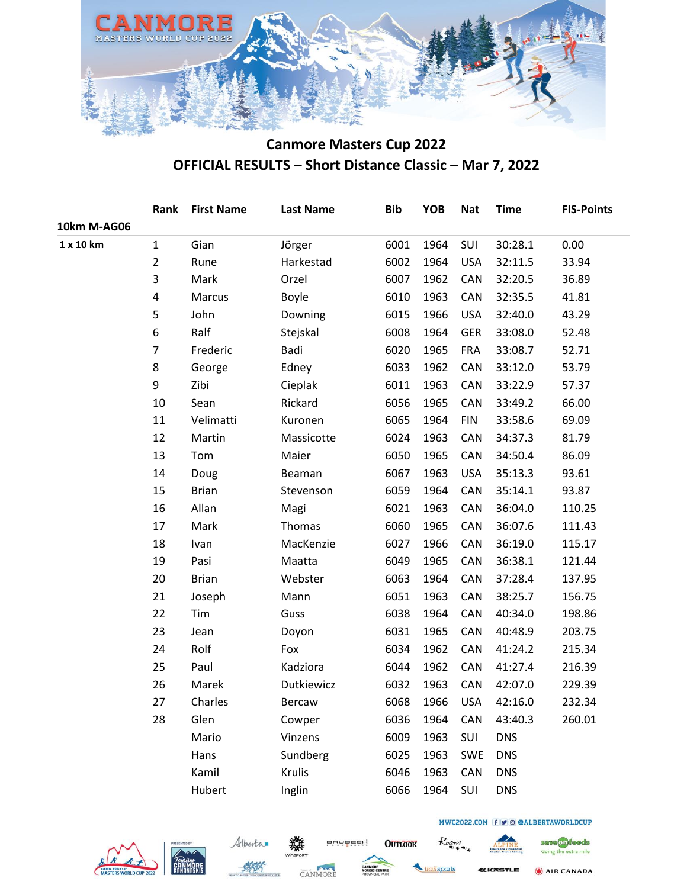

|                |              |            | <b>Bib</b> | <b>YOB</b> | <b>Nat</b> | <b>Time</b> | <b>FIS-Points</b> |
|----------------|--------------|------------|------------|------------|------------|-------------|-------------------|
|                |              |            |            |            |            |             |                   |
| $\mathbf{1}$   | Gian         | Jörger     | 6001       | 1964       | SUI        | 30:28.1     | 0.00              |
| $\overline{2}$ | Rune         | Harkestad  | 6002       | 1964       | <b>USA</b> | 32:11.5     | 33.94             |
| 3              | Mark         | Orzel      | 6007       | 1962       | CAN        | 32:20.5     | 36.89             |
| 4              | Marcus       | Boyle      | 6010       | 1963       | CAN        | 32:35.5     | 41.81             |
| 5              | John         | Downing    | 6015       | 1966       | <b>USA</b> | 32:40.0     | 43.29             |
| 6              | Ralf         | Stejskal   | 6008       | 1964       | <b>GER</b> | 33:08.0     | 52.48             |
| $\overline{7}$ | Frederic     | Badi       | 6020       | 1965       | <b>FRA</b> | 33:08.7     | 52.71             |
| 8              | George       | Edney      | 6033       | 1962       | CAN        | 33:12.0     | 53.79             |
| 9              | Zibi         | Cieplak    | 6011       | 1963       | CAN        | 33:22.9     | 57.37             |
| 10             | Sean         | Rickard    | 6056       | 1965       | CAN        | 33:49.2     | 66.00             |
| 11             | Velimatti    | Kuronen    | 6065       | 1964       | <b>FIN</b> | 33:58.6     | 69.09             |
| 12             | Martin       | Massicotte | 6024       | 1963       | CAN        | 34:37.3     | 81.79             |
| 13             | Tom          | Maier      | 6050       | 1965       | CAN        | 34:50.4     | 86.09             |
| 14             | Doug         | Beaman     | 6067       | 1963       | <b>USA</b> | 35:13.3     | 93.61             |
| 15             | <b>Brian</b> | Stevenson  | 6059       | 1964       | CAN        | 35:14.1     | 93.87             |
| 16             | Allan        | Magi       | 6021       | 1963       | CAN        | 36:04.0     | 110.25            |
| 17             | Mark         | Thomas     | 6060       | 1965       | CAN        | 36:07.6     | 111.43            |
| 18             | Ivan         | MacKenzie  | 6027       | 1966       | CAN        | 36:19.0     | 115.17            |
| 19             | Pasi         | Maatta     | 6049       | 1965       | CAN        | 36:38.1     | 121.44            |
| 20             | <b>Brian</b> | Webster    | 6063       | 1964       | CAN        | 37:28.4     | 137.95            |
| 21             | Joseph       | Mann       | 6051       | 1963       | CAN        | 38:25.7     | 156.75            |
| 22             | Tim          | Guss       | 6038       | 1964       | CAN        | 40:34.0     | 198.86            |
| 23             | Jean         | Doyon      | 6031       | 1965       | CAN        | 40:48.9     | 203.75            |
| 24             | Rolf         | Fox        | 6034       | 1962       | CAN        | 41:24.2     | 215.34            |
| 25             | Paul         | Kadziora   | 6044       | 1962       | CAN        | 41:27.4     | 216.39            |
| 26             | Marek        | Dutkiewicz | 6032       | 1963       | CAN        | 42:07.0     | 229.39            |
| 27             | Charles      | Bercaw     | 6068       | 1966       | <b>USA</b> | 42:16.0     | 232.34            |
| 28             | Glen         | Cowper     | 6036       | 1964       | CAN        | 43:40.3     | 260.01            |
|                | Mario        | Vinzens    | 6009       | 1963       | SUI        | <b>DNS</b>  |                   |
|                | Hans         | Sundberg   | 6025       | 1963       | <b>SWE</b> | <b>DNS</b>  |                   |
|                | Kamil        | Krulis     | 6046       | 1963       | CAN        | <b>DNS</b>  |                   |
|                | Hubert       | Inglin     | 6066       | 1964       | SUI        | <b>DNS</b>  |                   |
|                |              |            |            |            |            |             |                   |









**BRUBECH** 

**OUTLOOK** 

railsports

Roam



MWC2022.COM f v @ @ALBERTAWORLDCUP

AIR CANADA

save on foods

Going the extra mile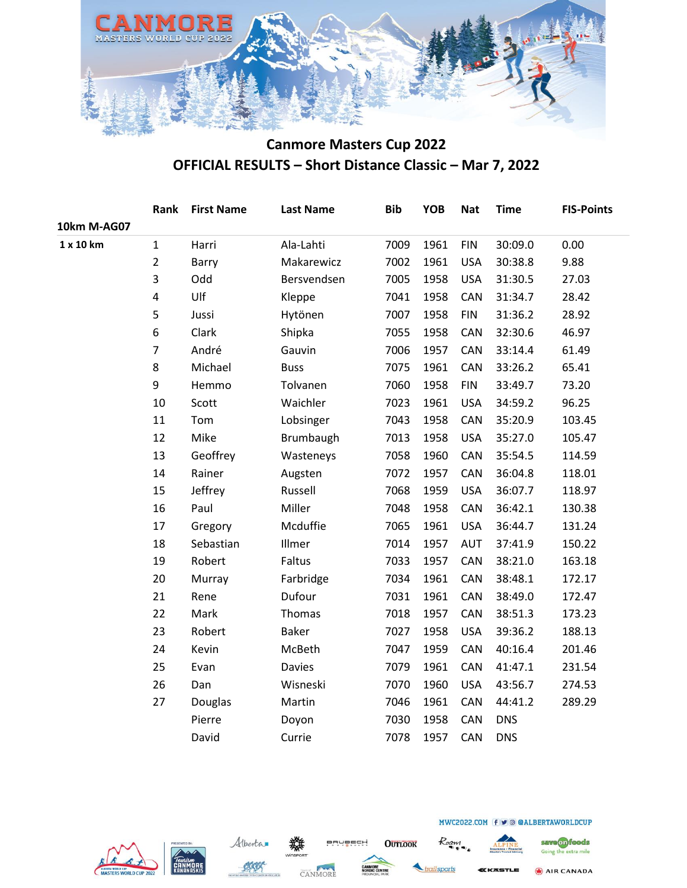

|             | Rank           | <b>First Name</b> | <b>Last Name</b> | <b>Bib</b> | <b>YOB</b> | <b>Nat</b> | <b>Time</b> | <b>FIS-Points</b> |
|-------------|----------------|-------------------|------------------|------------|------------|------------|-------------|-------------------|
| 10km M-AG07 |                |                   |                  |            |            |            |             |                   |
| 1 x 10 km   | $\mathbf{1}$   | Harri             | Ala-Lahti        | 7009       | 1961       | <b>FIN</b> | 30:09.0     | 0.00              |
|             | $\overline{2}$ | Barry             | Makarewicz       | 7002       | 1961       | <b>USA</b> | 30:38.8     | 9.88              |
|             | 3              | Odd               | Bersvendsen      | 7005       | 1958       | <b>USA</b> | 31:30.5     | 27.03             |
|             | 4              | Ulf               | Kleppe           | 7041       | 1958       | CAN        | 31:34.7     | 28.42             |
|             | 5              | Jussi             | Hytönen          | 7007       | 1958       | <b>FIN</b> | 31:36.2     | 28.92             |
|             | 6              | Clark             | Shipka           | 7055       | 1958       | CAN        | 32:30.6     | 46.97             |
|             | $\overline{7}$ | André             | Gauvin           | 7006       | 1957       | CAN        | 33:14.4     | 61.49             |
|             | 8              | Michael           | <b>Buss</b>      | 7075       | 1961       | CAN        | 33:26.2     | 65.41             |
|             | 9              | Hemmo             | Tolvanen         | 7060       | 1958       | <b>FIN</b> | 33:49.7     | 73.20             |
|             | 10             | Scott             | Waichler         | 7023       | 1961       | <b>USA</b> | 34:59.2     | 96.25             |
|             | 11             | Tom               | Lobsinger        | 7043       | 1958       | CAN        | 35:20.9     | 103.45            |
|             | 12             | Mike              | Brumbaugh        | 7013       | 1958       | <b>USA</b> | 35:27.0     | 105.47            |
|             | 13             | Geoffrey          | Wasteneys        | 7058       | 1960       | CAN        | 35:54.5     | 114.59            |
|             | 14             | Rainer            | Augsten          | 7072       | 1957       | CAN        | 36:04.8     | 118.01            |
|             | 15             | Jeffrey           | Russell          | 7068       | 1959       | <b>USA</b> | 36:07.7     | 118.97            |
|             | 16             | Paul              | Miller           | 7048       | 1958       | CAN        | 36:42.1     | 130.38            |
|             | 17             | Gregory           | Mcduffie         | 7065       | 1961       | <b>USA</b> | 36:44.7     | 131.24            |
|             | 18             | Sebastian         | Illmer           | 7014       | 1957       | <b>AUT</b> | 37:41.9     | 150.22            |
|             | 19             | Robert            | Faltus           | 7033       | 1957       | CAN        | 38:21.0     | 163.18            |
|             | 20             | Murray            | Farbridge        | 7034       | 1961       | CAN        | 38:48.1     | 172.17            |
|             | 21             | Rene              | Dufour           | 7031       | 1961       | CAN        | 38:49.0     | 172.47            |
|             | 22             | Mark              | Thomas           | 7018       | 1957       | CAN        | 38:51.3     | 173.23            |
|             | 23             | Robert            | <b>Baker</b>     | 7027       | 1958       | <b>USA</b> | 39:36.2     | 188.13            |
|             | 24             | Kevin             | McBeth           | 7047       | 1959       | CAN        | 40:16.4     | 201.46            |
|             | 25             | Evan              | <b>Davies</b>    | 7079       | 1961       | CAN        | 41:47.1     | 231.54            |
|             | 26             | Dan               | Wisneski         | 7070       | 1960       | <b>USA</b> | 43:56.7     | 274.53            |
|             | 27             | Douglas           | Martin           | 7046       | 1961       | CAN        | 44:41.2     | 289.29            |
|             |                | Pierre            | Doyon            | 7030       | 1958       | CAN        | <b>DNS</b>  |                   |
|             |                | David             | Currie           | 7078       | 1957       | CAN        | <b>DNS</b>  |                   |
|             |                |                   |                  |            |            |            |             |                   |





**BRUBECH** 

CANMORE

**OUTLOOK** 

railsports KKASTLE

Roam

Going the extra mile AIR CANADA

save on foods

MWC2022.COM f v @ @ALBERTAWORLDCUP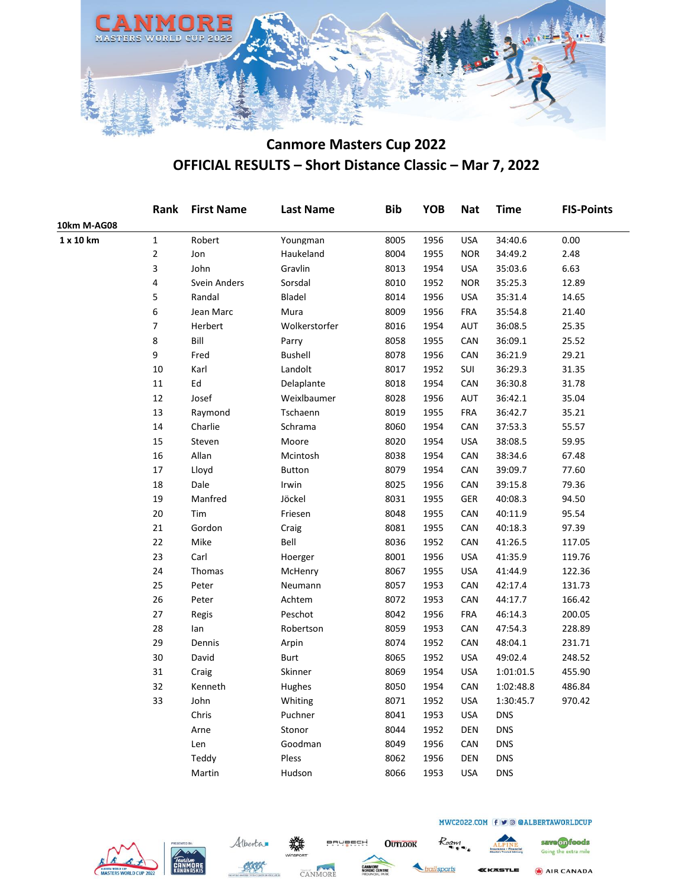

|             | Rank           | <b>First Name</b> | <b>Last Name</b> | <b>Bib</b> | <b>YOB</b> | <b>Nat</b> | <b>Time</b> | <b>FIS-Points</b> |
|-------------|----------------|-------------------|------------------|------------|------------|------------|-------------|-------------------|
| 10km M-AG08 |                |                   |                  |            |            |            |             |                   |
| 1 x 10 km   | $\mathbf 1$    | Robert            | Youngman         | 8005       | 1956       | <b>USA</b> | 34:40.6     | 0.00              |
|             | $\overline{2}$ | Jon               | Haukeland        | 8004       | 1955       | <b>NOR</b> | 34:49.2     | 2.48              |
|             | 3              | John              | Gravlin          | 8013       | 1954       | <b>USA</b> | 35:03.6     | 6.63              |
|             | 4              | Svein Anders      | Sorsdal          | 8010       | 1952       | <b>NOR</b> | 35:25.3     | 12.89             |
|             | 5              | Randal            | Bladel           | 8014       | 1956       | <b>USA</b> | 35:31.4     | 14.65             |
|             | 6              | Jean Marc         | Mura             | 8009       | 1956       | <b>FRA</b> | 35:54.8     | 21.40             |
|             | 7              | Herbert           | Wolkerstorfer    | 8016       | 1954       | AUT        | 36:08.5     | 25.35             |
|             | 8              | Bill              | Parry            | 8058       | 1955       | CAN        | 36:09.1     | 25.52             |
|             | 9              | Fred              | <b>Bushell</b>   | 8078       | 1956       | CAN        | 36:21.9     | 29.21             |
|             | 10             | Karl              | Landolt          | 8017       | 1952       | SUI        | 36:29.3     | 31.35             |
|             | 11             | Ed                | Delaplante       | 8018       | 1954       | CAN        | 36:30.8     | 31.78             |
|             | 12             | Josef             | Weixlbaumer      | 8028       | 1956       | AUT        | 36:42.1     | 35.04             |
|             | 13             | Raymond           | Tschaenn         | 8019       | 1955       | <b>FRA</b> | 36:42.7     | 35.21             |
|             | 14             | Charlie           | Schrama          | 8060       | 1954       | CAN        | 37:53.3     | 55.57             |
|             | 15             | Steven            | Moore            | 8020       | 1954       | <b>USA</b> | 38:08.5     | 59.95             |
|             | 16             | Allan             | Mcintosh         | 8038       | 1954       | CAN        | 38:34.6     | 67.48             |
|             | 17             | Lloyd             | <b>Button</b>    | 8079       | 1954       | CAN        | 39:09.7     | 77.60             |
|             | 18             | Dale              | Irwin            | 8025       | 1956       | CAN        | 39:15.8     | 79.36             |
|             | 19             | Manfred           | Jöckel           | 8031       | 1955       | <b>GER</b> | 40:08.3     | 94.50             |
|             | 20             | Tim               | Friesen          | 8048       | 1955       | CAN        | 40:11.9     | 95.54             |
|             | 21             | Gordon            | Craig            | 8081       | 1955       | CAN        | 40:18.3     | 97.39             |
|             | 22             | Mike              | Bell             | 8036       | 1952       | CAN        | 41:26.5     | 117.05            |
|             | 23             | Carl              | Hoerger          | 8001       | 1956       | USA        | 41:35.9     | 119.76            |
|             | 24             | Thomas            | McHenry          | 8067       | 1955       | USA        | 41:44.9     | 122.36            |
|             | 25             | Peter             | Neumann          | 8057       | 1953       | CAN        | 42:17.4     | 131.73            |
|             | 26             | Peter             | Achtem           | 8072       | 1953       | CAN        | 44:17.7     | 166.42            |
|             | 27             | Regis             | Peschot          | 8042       | 1956       | FRA        | 46:14.3     | 200.05            |
|             | 28             | lan               | Robertson        | 8059       | 1953       | CAN        | 47:54.3     | 228.89            |
|             | 29             | Dennis            | Arpin            | 8074       | 1952       | CAN        | 48:04.1     | 231.71            |
|             | 30             | David             | Burt             | 8065       | 1952       | USA        | 49:02.4     | 248.52            |
|             | 31             | Craig             | Skinner          | 8069       | 1954       | <b>USA</b> | 1:01:01.5   | 455.90            |
|             | 32             | Kenneth           | Hughes           | 8050       | 1954       | CAN        | 1:02:48.8   | 486.84            |
|             | 33             | John              | Whiting          | 8071       | 1952       | <b>USA</b> | 1:30:45.7   | 970.42            |
|             |                | Chris             | Puchner          | 8041       | 1953       | USA        | <b>DNS</b>  |                   |
|             |                | Arne              | Stonor           | 8044       | 1952       | DEN        | <b>DNS</b>  |                   |
|             |                | Len               | Goodman          | 8049       | 1956       | CAN        | <b>DNS</b>  |                   |
|             |                | Teddy             | Pless            | 8062       | 1956       | DEN        | <b>DNS</b>  |                   |
|             |                | Martin            | Hudson           | 8066       | 1953       | <b>USA</b> | <b>DNS</b>  |                   |







BRUBECH

**OUTLOOK** 

ailsports

Roam



MWC2022.COM f v @ @ALBERTAWORLDCUP

save on foods Going the extra mile AIR CANADA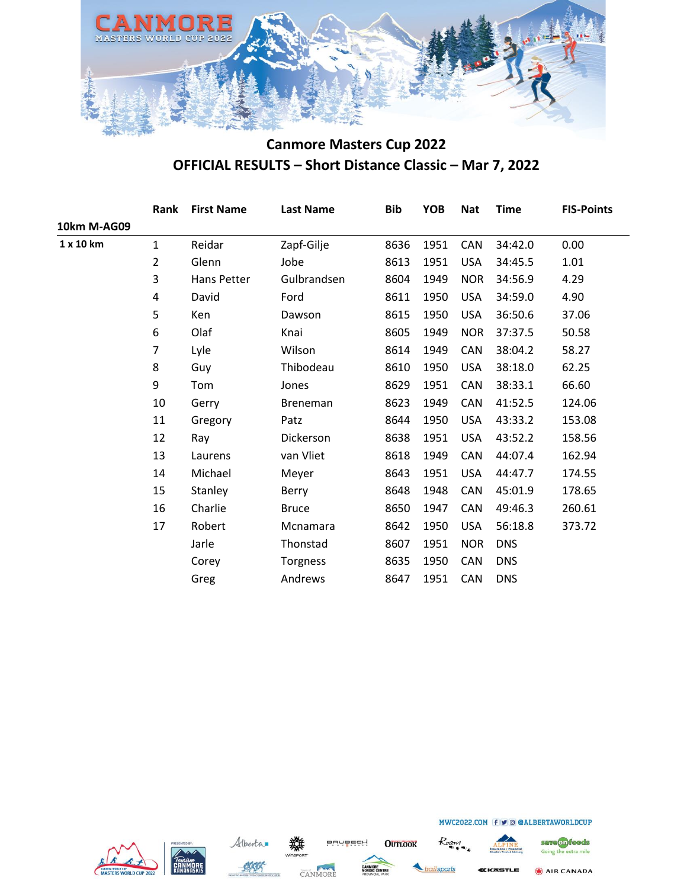

|             | Rank           | <b>First Name</b> | <b>Last Name</b> | <b>Bib</b> | <b>YOB</b> | <b>Nat</b> | <b>Time</b> | <b>FIS-Points</b> |
|-------------|----------------|-------------------|------------------|------------|------------|------------|-------------|-------------------|
| 10km M-AG09 |                |                   |                  |            |            |            |             |                   |
| 1 x 10 km   | $\mathbf{1}$   | Reidar            | Zapf-Gilje       | 8636       | 1951       | <b>CAN</b> | 34:42.0     | 0.00              |
|             | $\overline{2}$ | Glenn             | Jobe             | 8613       | 1951       | <b>USA</b> | 34:45.5     | 1.01              |
|             | 3              | Hans Petter       | Gulbrandsen      | 8604       | 1949       | <b>NOR</b> | 34:56.9     | 4.29              |
|             | 4              | David             | Ford             | 8611       | 1950       | <b>USA</b> | 34:59.0     | 4.90              |
|             | 5              | Ken               | Dawson           | 8615       | 1950       | <b>USA</b> | 36:50.6     | 37.06             |
|             | 6              | Olaf              | Knai             | 8605       | 1949       | <b>NOR</b> | 37:37.5     | 50.58             |
|             | 7              | Lyle              | Wilson           | 8614       | 1949       | CAN        | 38:04.2     | 58.27             |
|             | 8              | Guy               | Thibodeau        | 8610       | 1950       | <b>USA</b> | 38:18.0     | 62.25             |
|             | 9              | Tom               | Jones            | 8629       | 1951       | <b>CAN</b> | 38:33.1     | 66.60             |
|             | 10             | Gerry             | <b>Breneman</b>  | 8623       | 1949       | CAN        | 41:52.5     | 124.06            |
|             | 11             | Gregory           | Patz             | 8644       | 1950       | <b>USA</b> | 43:33.2     | 153.08            |
|             | 12             | Ray               | Dickerson        | 8638       | 1951       | <b>USA</b> | 43:52.2     | 158.56            |
|             | 13             | Laurens           | van Vliet        | 8618       | 1949       | CAN        | 44:07.4     | 162.94            |
|             | 14             | Michael           | Meyer            | 8643       | 1951       | <b>USA</b> | 44:47.7     | 174.55            |
|             | 15             | Stanley           | Berry            | 8648       | 1948       | CAN        | 45:01.9     | 178.65            |
|             | 16             | Charlie           | <b>Bruce</b>     | 8650       | 1947       | CAN        | 49:46.3     | 260.61            |
|             | 17             | Robert            | Mcnamara         | 8642       | 1950       | <b>USA</b> | 56:18.8     | 373.72            |
|             |                | Jarle             | Thonstad         | 8607       | 1951       | <b>NOR</b> | <b>DNS</b>  |                   |
|             |                | Corey             | Torgness         | 8635       | 1950       | CAN        | <b>DNS</b>  |                   |
|             |                | Greg              | Andrews          | 8647       | 1951       | CAN        | <b>DNS</b>  |                   |
|             |                |                   |                  |            |            |            |             |                   |







**OUTLOOK** 

railsports

Roam



MWC2022.COM f v @ @ALBERTAWORLDCUP

save on foods Going the extra mile

AIR CANADA

**KKASTLE**